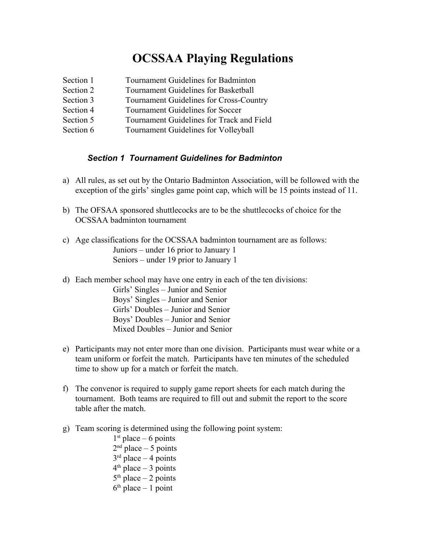# **OCSSAA Playing Regulations**

- Section 1 Tournament Guidelines for Badminton
- Section 2 Tournament Guidelines for Basketball
- Section 3 Tournament Guidelines for Cross-Country
- Section 4 Tournament Guidelines for Soccer
- Section 5 Tournament Guidelines for Track and Field
- Section 6 Tournament Guidelines for Volleyball

### *Section 1 Tournament Guidelines for Badminton*

- a) All rules, as set out by the Ontario Badminton Association, will be followed with the exception of the girls' singles game point cap, which will be 15 points instead of 11.
- b) The OFSAA sponsored shuttlecocks are to be the shuttlecocks of choice for the OCSSAA badminton tournament
- c) Age classifications for the OCSSAA badminton tournament are as follows: Juniors – under 16 prior to January 1 Seniors – under 19 prior to January 1
- d) Each member school may have one entry in each of the ten divisions:

Girls' Singles – Junior and Senior Boys' Singles – Junior and Senior Girls' Doubles – Junior and Senior Boys' Doubles – Junior and Senior Mixed Doubles – Junior and Senior

- e) Participants may not enter more than one division. Participants must wear white or a team uniform or forfeit the match. Participants have ten minutes of the scheduled time to show up for a match or forfeit the match.
- f) The convenor is required to supply game report sheets for each match during the tournament. Both teams are required to fill out and submit the report to the score table after the match.
- g) Team scoring is determined using the following point system:
	- $1<sup>st</sup>$  place 6 points  $2<sup>nd</sup>$  place  $-5$  points  $3<sup>rd</sup>$  place  $-4$  points  $4<sup>th</sup>$  place  $-3$  points  $5<sup>th</sup>$  place  $-2$  points  $6<sup>th</sup>$  place  $-1$  point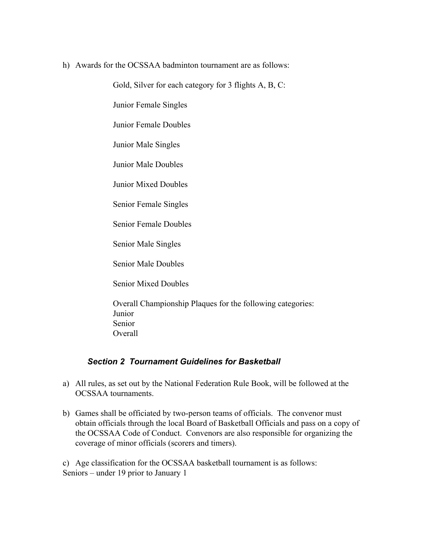#### h) Awards for the OCSSAA badminton tournament are as follows:

Gold, Silver for each category for 3 flights A, B, C:

Junior Female Singles

Junior Female Doubles

Junior Male Singles

Junior Male Doubles

Junior Mixed Doubles

Senior Female Singles

Senior Female Doubles

Senior Male Singles

Senior Male Doubles

Senior Mixed Doubles

Overall Championship Plaques for the following categories: Junior Senior Overall

#### *Section 2 Tournament Guidelines for Basketball*

- a) All rules, as set out by the National Federation Rule Book, will be followed at the OCSSAA tournaments.
- b) Games shall be officiated by two-person teams of officials. The convenor must obtain officials through the local Board of Basketball Officials and pass on a copy of the OCSSAA Code of Conduct. Convenors are also responsible for organizing the coverage of minor officials (scorers and timers).

c) Age classification for the OCSSAA basketball tournament is as follows: Seniors – under 19 prior to January 1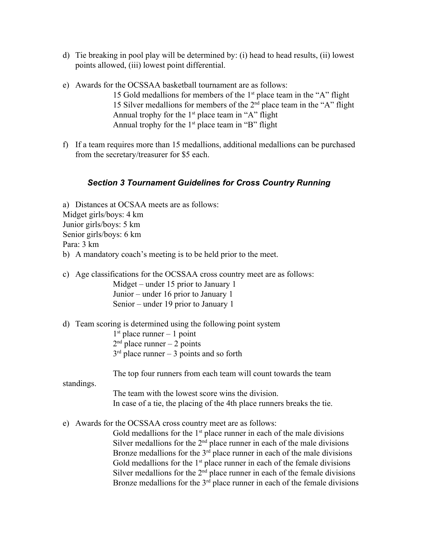- d) Tie breaking in pool play will be determined by: (i) head to head results, (ii) lowest points allowed, (iii) lowest point differential.
- e) Awards for the OCSSAA basketball tournament are as follows:
	- 15 Gold medallions for members of the  $1<sup>st</sup>$  place team in the "A" flight 15 Silver medallions for members of the  $2<sup>nd</sup>$  place team in the "A" flight Annual trophy for the  $1<sup>st</sup>$  place team in "A" flight Annual trophy for the  $1<sup>st</sup>$  place team in "B" flight
- f) If a team requires more than 15 medallions, additional medallions can be purchased from the secretary/treasurer for \$5 each.

### *Section 3 Tournament Guidelines for Cross Country Running*

a) Distances at OCSAA meets are as follows: Midget girls/boys: 4 km Junior girls/boys: 5 km Senior girls/boys: 6 km Para: 3 km b) A mandatory coach's meeting is to be held prior to the meet.

- c) Age classifications for the OCSSAA cross country meet are as follows: Midget – under 15 prior to January 1 Junior – under 16 prior to January 1 Senior – under 19 prior to January 1
- d) Team scoring is determined using the following point system
	- $1<sup>st</sup>$  place runner 1 point
	- $2<sup>nd</sup>$  place runner 2 points
	- $3<sup>rd</sup>$  place runner 3 points and so forth

The top four runners from each team will count towards the team

standings.

The team with the lowest score wins the division. In case of a tie, the placing of the 4th place runners breaks the tie.

e) Awards for the OCSSAA cross country meet are as follows:

Gold medallions for the  $1<sup>st</sup>$  place runner in each of the male divisions Silver medallions for the  $2<sup>nd</sup>$  place runner in each of the male divisions Bronze medallions for the  $3<sup>rd</sup>$  place runner in each of the male divisions Gold medallions for the  $1<sup>st</sup>$  place runner in each of the female divisions Silver medallions for the  $2<sup>nd</sup>$  place runner in each of the female divisions Bronze medallions for the  $3<sup>rd</sup>$  place runner in each of the female divisions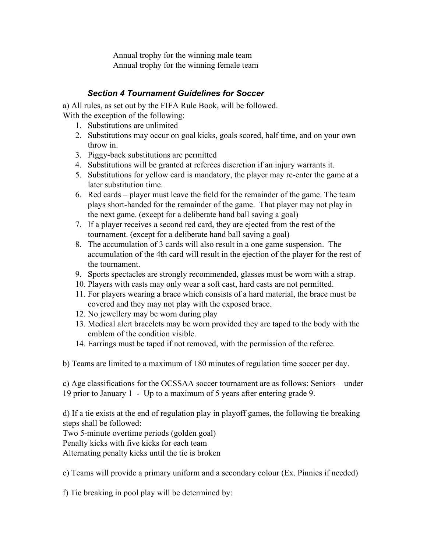Annual trophy for the winning male team Annual trophy for the winning female team

## *Section 4 Tournament Guidelines for Soccer*

a) All rules, as set out by the FIFA Rule Book, will be followed. With the exception of the following:

- 1. Substitutions are unlimited
- 2. Substitutions may occur on goal kicks, goals scored, half time, and on your own throw in.
- 3. Piggy-back substitutions are permitted
- 4. Substitutions will be granted at referees discretion if an injury warrants it.
- 5. Substitutions for yellow card is mandatory, the player may re-enter the game at a later substitution time.
- 6. Red cards player must leave the field for the remainder of the game. The team plays short-handed for the remainder of the game. That player may not play in the next game. (except for a deliberate hand ball saving a goal)
- 7. If a player receives a second red card, they are ejected from the rest of the tournament. (except for a deliberate hand ball saving a goal)
- 8. The accumulation of 3 cards will also result in a one game suspension. The accumulation of the 4th card will result in the ejection of the player for the rest of the tournament.
- 9. Sports spectacles are strongly recommended, glasses must be worn with a strap.
- 10. Players with casts may only wear a soft cast, hard casts are not permitted.
- 11. For players wearing a brace which consists of a hard material, the brace must be covered and they may not play with the exposed brace.
- 12. No jewellery may be worn during play
- 13. Medical alert bracelets may be worn provided they are taped to the body with the emblem of the condition visible.
- 14. Earrings must be taped if not removed, with the permission of the referee.

b) Teams are limited to a maximum of 180 minutes of regulation time soccer per day.

c) Age classifications for the OCSSAA soccer tournament are as follows: Seniors – under 19 prior to January 1 - Up to a maximum of 5 years after entering grade 9.

d) If a tie exists at the end of regulation play in playoff games, the following tie breaking steps shall be followed:

Two 5-minute overtime periods (golden goal)

Penalty kicks with five kicks for each team

Alternating penalty kicks until the tie is broken

e) Teams will provide a primary uniform and a secondary colour (Ex. Pinnies if needed)

f) Tie breaking in pool play will be determined by: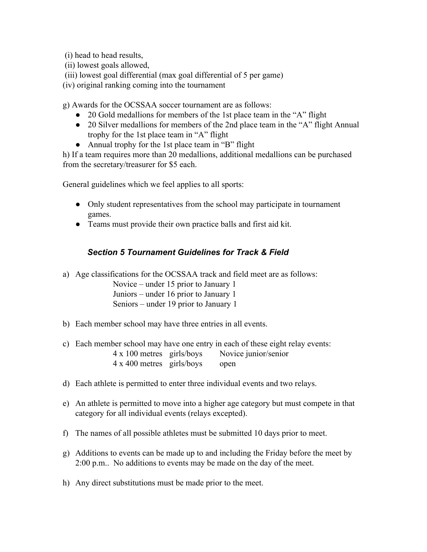(i) head to head results,

- (ii) lowest goals allowed,
- (iii) lowest goal differential (max goal differential of 5 per game)
- (iv) original ranking coming into the tournament

g) Awards for the OCSSAA soccer tournament are as follows:

- 20 Gold medallions for members of the 1st place team in the "A" flight
- 20 Silver medallions for members of the 2nd place team in the "A" flight Annual trophy for the 1st place team in "A" flight
- Annual trophy for the 1st place team in "B" flight

h) If a team requires more than 20 medallions, additional medallions can be purchased from the secretary/treasurer for \$5 each.

General guidelines which we feel applies to all sports:

- Only student representatives from the school may participate in tournament games.
- Teams must provide their own practice balls and first aid kit.

## *Section 5 Tournament Guidelines for Track & Field*

a) Age classifications for the OCSSAA track and field meet are as follows:

Novice – under 15 prior to January 1 Juniors – under 16 prior to January 1 Seniors – under 19 prior to January 1

- b) Each member school may have three entries in all events.
- c) Each member school may have one entry in each of these eight relay events: 4 x 100 metres girls/boys Novice junior/senior 4 x 400 metres girls/boys open
- d) Each athlete is permitted to enter three individual events and two relays.
- e) An athlete is permitted to move into a higher age category but must compete in that category for all individual events (relays excepted).
- f) The names of all possible athletes must be submitted 10 days prior to meet.
- g) Additions to events can be made up to and including the Friday before the meet by 2:00 p.m.. No additions to events may be made on the day of the meet.
- h) Any direct substitutions must be made prior to the meet.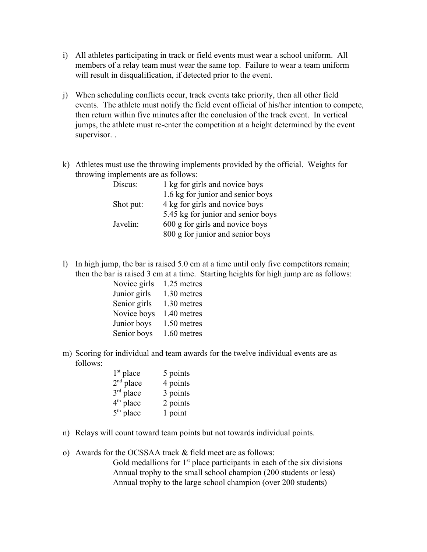- i) All athletes participating in track or field events must wear a school uniform. All members of a relay team must wear the same top. Failure to wear a team uniform will result in disqualification, if detected prior to the event.
- j) When scheduling conflicts occur, track events take priority, then all other field events. The athlete must notify the field event official of his/her intention to compete, then return within five minutes after the conclusion of the track event. In vertical jumps, the athlete must re-enter the competition at a height determined by the event supervisor. .
- k) Athletes must use the throwing implements provided by the official. Weights for throwing implements are as follows:

| Discus:   | 1 kg for girls and novice boys     |
|-----------|------------------------------------|
|           | 1.6 kg for junior and senior boys  |
| Shot put: | 4 kg for girls and novice boys     |
|           | 5.45 kg for junior and senior boys |
| Javelin:  | 600 g for girls and novice boys    |
|           | 800 g for junior and senior boys   |

l) In high jump, the bar is raised 5.0 cm at a time until only five competitors remain; then the bar is raised 3 cm at a time. Starting heights for high jump are as follows:

| Novice girls | 1.25 metres |
|--------------|-------------|
| Junior girls | 1.30 metres |
| Senior girls | 1.30 metres |
| Novice boys  | 1.40 metres |
| Junior boys  | 1.50 metres |
| Senior boys  | 1.60 metres |

m) Scoring for individual and team awards for the twelve individual events are as follows:

| 1 <sup>st</sup> place | 5 points |
|-----------------------|----------|
| $2nd$ place           | 4 points |
| 3rd place             | 3 points |
| 4 <sup>th</sup> place | 2 points |
| $5th$ place           | 1 point  |

- n) Relays will count toward team points but not towards individual points.
- o) Awards for the OCSSAA track & field meet are as follows:
	- Gold medallions for  $1<sup>st</sup>$  place participants in each of the six divisions Annual trophy to the small school champion (200 students or less) Annual trophy to the large school champion (over 200 students)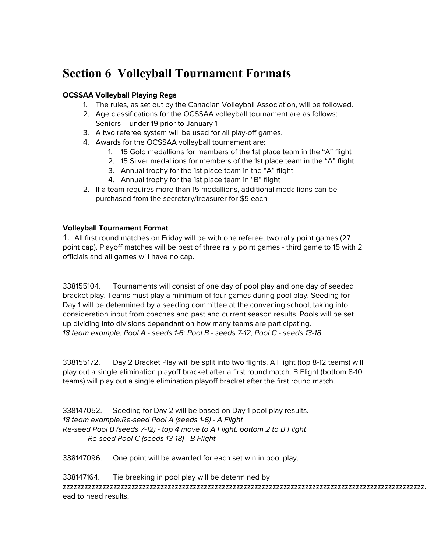# **Section 6 Volleyball Tournament Formats**

#### **OCSSAA Volleyball Playing Regs**

- 1. The rules, as set out by the Canadian Volleyball Association, will be followed.
- 2. Age classifications for the OCSSAA volleyball tournament are as follows: Seniors – under 19 prior to January 1
- 3. A two referee system will be used for all play-off games.
- 4. Awards for the OCSSAA volleyball tournament are:
	- 1. 15 Gold medallions for members of the 1st place team in the "A" flight
	- 2. 15 Silver medallions for members of the 1st place team in the "A" flight
	- 3. Annual trophy for the 1st place team in the "A" flight
	- 4. Annual trophy for the 1st place team in "B" flight
- 2. If a team requires more than 15 medallions, additional medallions can be purchased from the secretary/treasurer for \$5 each

#### **Volleyball Tournament Format**

1. All first round matches on Friday will be with one referee, two rally point games (27 point cap). Playoff matches will be best of three rally point games - third game to 15 with 2 officials and all games will have no cap.

338155104. Tournaments will consist of one day of pool play and one day of seeded bracket play. Teams must play a minimum of four games during pool play. Seeding for Day 1 will be determined by a seeding committee at the convening school, taking into consideration input from coaches and past and current season results. Pools will be set up dividing into divisions dependant on how many teams are participating. 18 team example: Pool A - seeds 1-6; Pool B - seeds 7-12; Pool C - seeds 13-18

338155172. Day 2 Bracket Play will be split into two flights. A Flight (top 8-12 teams) will play out a single elimination playoff bracket after a first round match. B Flight (bottom 8-10 teams) will play out a single elimination playoff bracket after the first round match.

338147052. Seeding for Day 2 will be based on Day 1 pool play results. 18 team example:Re-seed Pool A (seeds 1-6) - A Flight Re-seed Pool B (seeds 7-12) - top 4 move to A Flight, bottom 2 to B Flight Re-seed Pool C (seeds 13-18) - B Flight

338147096. One point will be awarded for each set win in pool play.

338147164. Tie breaking in pool play will be determined by zzzzzzzzzzzzzzzzzzzzzzzzzzzzzzzzzzzzzzzzzzzzzzzzzzzzzzzzzzzzzzzzzzzzzzzzzzzzzzzzzzzzzzzzzzzzzzzzzzzz. ead to head results,